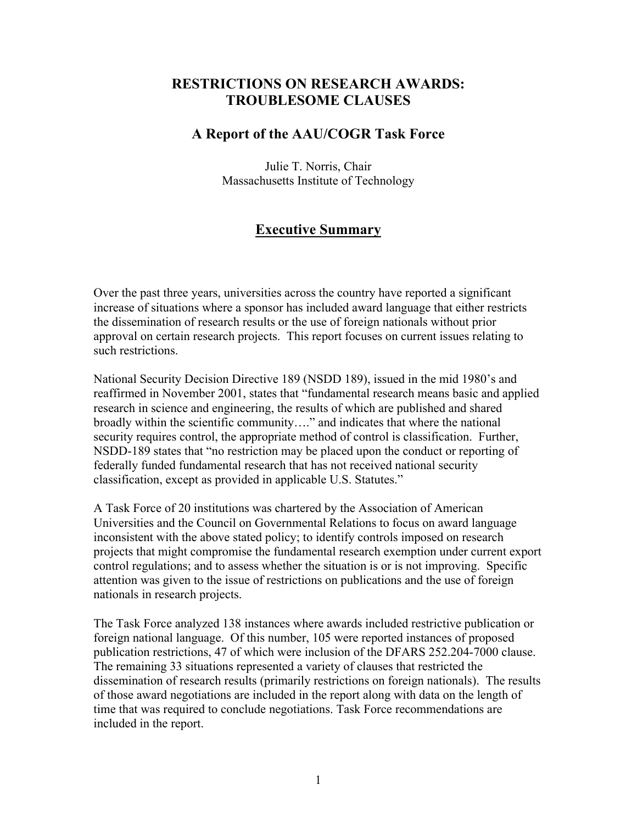# **RESTRICTIONS ON RESEARCH AWARDS: TROUBLESOME CLAUSES**

# **A Report of the AAU/COGR Task Force**

Julie T. Norris, Chair Massachusetts Institute of Technology

# **Executive Summary**

Over the past three years, universities across the country have reported a significant increase of situations where a sponsor has included award language that either restricts the dissemination of research results or the use of foreign nationals without prior approval on certain research projects. This report focuses on current issues relating to such restrictions.

National Security Decision Directive 189 (NSDD 189), issued in the mid 1980's and reaffirmed in November 2001, states that "fundamental research means basic and applied research in science and engineering, the results of which are published and shared broadly within the scientific community…." and indicates that where the national security requires control, the appropriate method of control is classification. Further, NSDD-189 states that "no restriction may be placed upon the conduct or reporting of federally funded fundamental research that has not received national security classification, except as provided in applicable U.S. Statutes."

A Task Force of 20 institutions was chartered by the Association of American Universities and the Council on Governmental Relations to focus on award language inconsistent with the above stated policy; to identify controls imposed on research projects that might compromise the fundamental research exemption under current export control regulations; and to assess whether the situation is or is not improving. Specific attention was given to the issue of restrictions on publications and the use of foreign nationals in research projects.

The Task Force analyzed 138 instances where awards included restrictive publication or foreign national language. Of this number, 105 were reported instances of proposed publication restrictions, 47 of which were inclusion of the DFARS 252.204-7000 clause. The remaining 33 situations represented a variety of clauses that restricted the dissemination of research results (primarily restrictions on foreign nationals). The results of those award negotiations are included in the report along with data on the length of time that was required to conclude negotiations. Task Force recommendations are included in the report.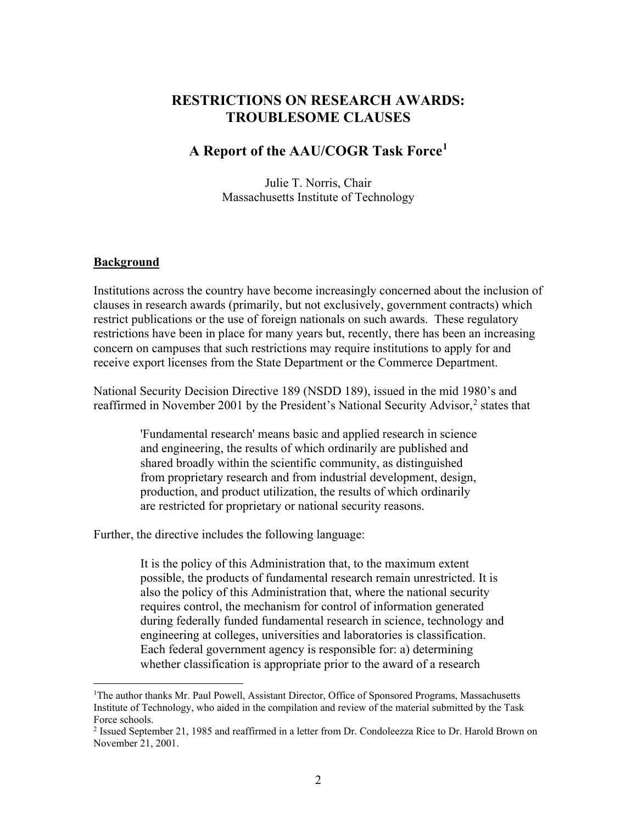# **RESTRICTIONS ON RESEARCH AWARDS: TROUBLESOME CLAUSES**

# **A Report of the AAU/COGR Task Force[1](#page-1-0)**

Julie T. Norris, Chair Massachusetts Institute of Technology

#### **Background**

Institutions across the country have become increasingly concerned about the inclusion of clauses in research awards (primarily, but not exclusively, government contracts) which restrict publications or the use of foreign nationals on such awards. These regulatory restrictions have been in place for many years but, recently, there has been an increasing concern on campuses that such restrictions may require institutions to apply for and receive export licenses from the State Department or the Commerce Department.

National Security Decision Directive 189 (NSDD 189), issued in the mid 1980's and reaffirmed in November [2](#page-1-1)001 by the President's National Security Advisor,<sup>2</sup> states that

> 'Fundamental research' means basic and applied research in science and engineering, the results of which ordinarily are published and shared broadly within the scientific community, as distinguished from proprietary research and from industrial development, design, production, and product utilization, the results of which ordinarily are restricted for proprietary or national security reasons.

Further, the directive includes the following language:

It is the policy of this Administration that, to the maximum extent possible, the products of fundamental research remain unrestricted. It is also the policy of this Administration that, where the national security requires control, the mechanism for control of information generated during federally funded fundamental research in science, technology and engineering at colleges, universities and laboratories is classification. Each federal government agency is responsible for: a) determining whether classification is appropriate prior to the award of a research

<span id="page-1-0"></span><sup>&</sup>lt;sup>1</sup>The author thanks Mr. Paul Powell, Assistant Director, Office of Sponsored Programs, Massachusetts Institute of Technology, who aided in the compilation and review of the material submitted by the Task Force schools.

<span id="page-1-1"></span><sup>2</sup> Issued September 21, 1985 and reaffirmed in a letter from Dr. Condoleezza Rice to Dr. Harold Brown on November 21, 2001.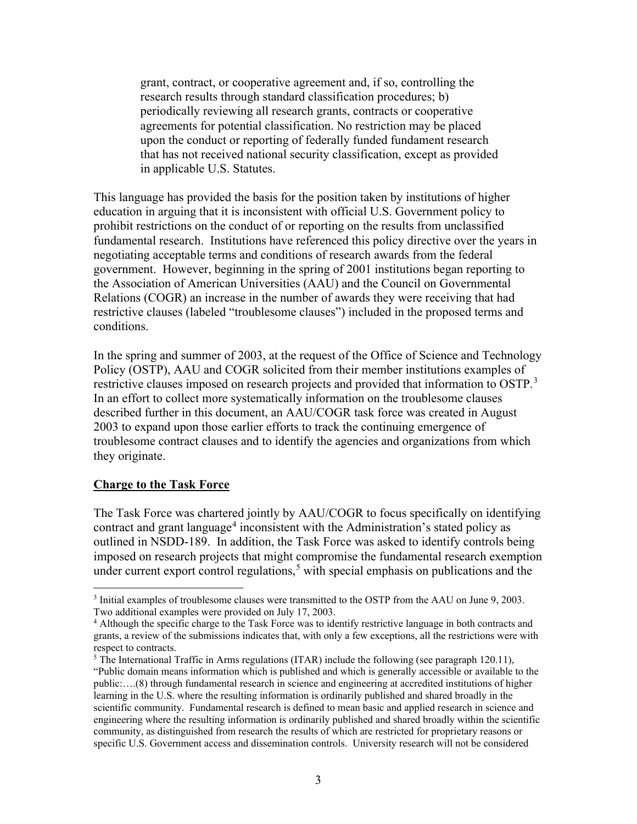grant, contract, or cooperative agreement and, if so, controlling the research results through standard classification procedures; b) periodically reviewing all research grants, contracts or cooperative agreements for potential classification. No restriction may be placed upon the conduct or reporting of federally funded fundament research that has not received national security classification, except as provided in applicable U.S. Statutes.

This language has provided the basis for the position taken by institutions of higher education in arguing that it is inconsistent with official U.S. Government policy to prohibit restrictions on the conduct of or reporting on the results from unclassified fundamental research. Institutions have referenced this policy directive over the years in negotiating acceptable terms and conditions of research awards from the federal government. However, beginning in the spring of 2001 institutions began reporting to the Association of American Universities (AAU) and the Council on Governmental Relations (COGR) an increase in the number of awards they were receiving that had restrictive clauses (labeled "troublesome clauses") included in the proposed terms and conditions.

In the spring and summer of 2003, at the request of the Office of Science and Technology Policy (OSTP), AAU and COGR solicited from their member institutions examples of restrictive clauses imposed on research projects and provided that information to OSTP.<sup>[3](#page-2-0)</sup> In an effort to collect more systematically information on the troublesome clauses described further in this document, an AAU/COGR task force was created in August 2003 to expand upon those earlier efforts to track the continuing emergence of troublesome contract clauses and to identify the agencies and organizations from which they originate.

#### **Charge to the Task Force**

The Task Force was chartered jointly by AAU/COGR to focus specifically on identifying contract and grant language<sup>[4](#page-2-1)</sup> inconsistent with the Administration's stated policy as outlined in NSDD-189. In addition, the Task Force was asked to identify controls being imposed on research projects that might compromise the fundamental research exemption under current export control regulations, [5](#page-2-2) with special emphasis on publications and the

<span id="page-2-0"></span><sup>&</sup>lt;sup>3</sup> Initial examples of troublesome clauses were transmitted to the OSTP from the AAU on June 9, 2003. Two additional examples were provided on July 17, 2003.

<span id="page-2-1"></span><sup>&</sup>lt;sup>4</sup> Although the specific charge to the Task Force was to identify restrictive language in both contracts and grants, a review of the submissions indicates that, with only a few exceptions, all the restrictions were with respect to contracts.

<span id="page-2-2"></span><sup>&</sup>lt;sup>5</sup> The International Traffic in Arms regulations (ITAR) include the following (see paragraph 120.11), "Public domain means information which is published and which is generally accessible or available to the public:….(8) through fundamental research in science and engineering at accredited institutions of higher learning in the U.S. where the resulting information is ordinarily published and shared broadly in the scientific community. Fundamental research is defined to mean basic and applied research in science and engineering where the resulting information is ordinarily published and shared broadly within the scientific community, as distinguished from research the results of which are restricted for proprietary reasons or specific U.S. Government access and dissemination controls. University research will not be considered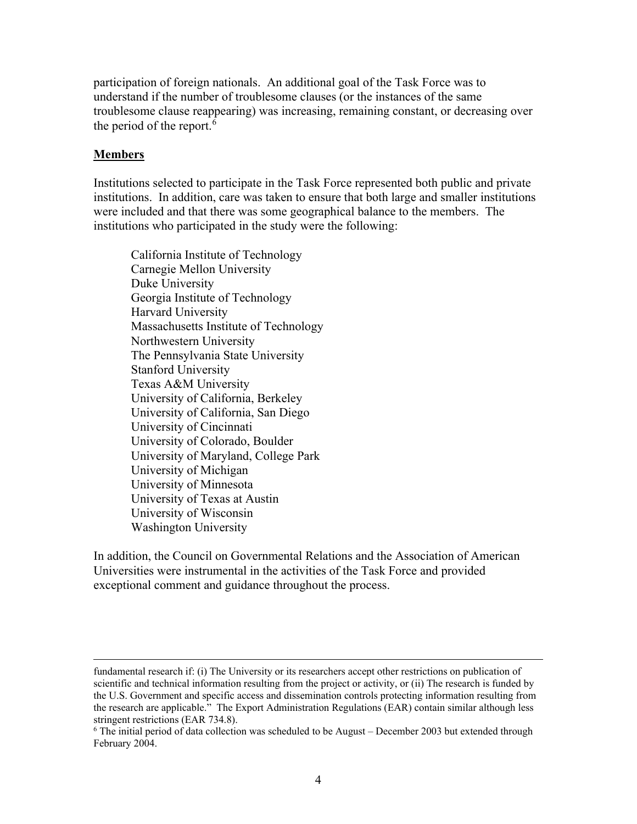participation of foreign nationals. An additional goal of the Task Force was to understand if the number of troublesome clauses (or the instances of the same troublesome clause reappearing) was increasing, remaining constant, or decreasing over the period of the report.<sup>[6](#page-3-0)</sup>

#### **Members**

Institutions selected to participate in the Task Force represented both public and private institutions. In addition, care was taken to ensure that both large and smaller institutions were included and that there was some geographical balance to the members. The institutions who participated in the study were the following:

California Institute of Technology Carnegie Mellon University Duke University Georgia Institute of Technology Harvard University Massachusetts Institute of Technology Northwestern University The Pennsylvania State University Stanford University Texas A&M University University of California, Berkeley University of California, San Diego University of Cincinnati University of Colorado, Boulder University of Maryland, College Park University of Michigan University of Minnesota University of Texas at Austin University of Wisconsin Washington University

In addition, the Council on Governmental Relations and the Association of American Universities were instrumental in the activities of the Task Force and provided exceptional comment and guidance throughout the process.

fundamental research if: (i) The University or its researchers accept other restrictions on publication of scientific and technical information resulting from the project or activity, or (ii) The research is funded by the U.S. Government and specific access and dissemination controls protecting information resulting from the research are applicable." The Export Administration Regulations (EAR) contain similar although less stringent restrictions (EAR 734.8).

<span id="page-3-0"></span> $6$  The initial period of data collection was scheduled to be August – December 2003 but extended through February 2004.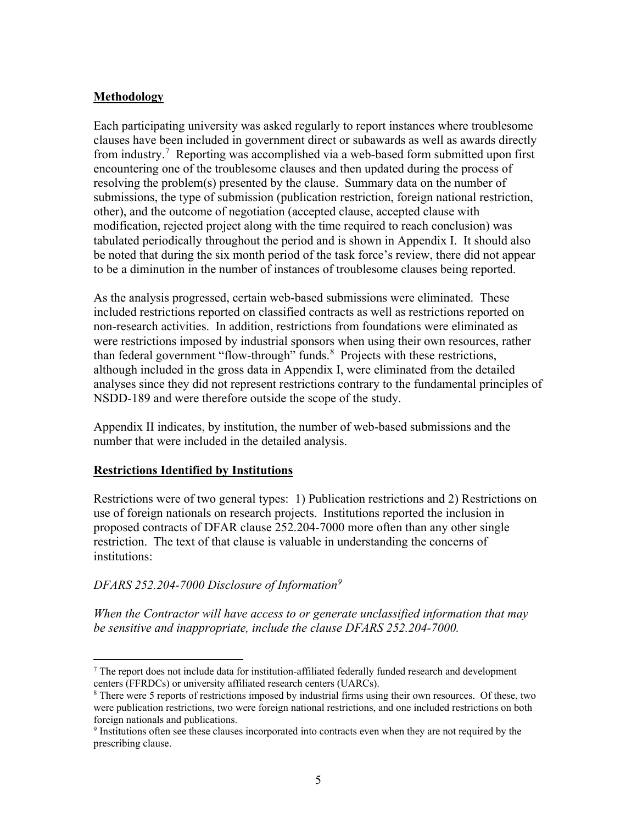## **Methodology**

Each participating university was asked regularly to report instances where troublesome clauses have been included in government direct or subawards as well as awards directly from industry.<sup>[7](#page-4-0)</sup> Reporting was accomplished via a web-based form submitted upon first encountering one of the troublesome clauses and then updated during the process of resolving the problem(s) presented by the clause. Summary data on the number of submissions, the type of submission (publication restriction, foreign national restriction, other), and the outcome of negotiation (accepted clause, accepted clause with modification, rejected project along with the time required to reach conclusion) was tabulated periodically throughout the period and is shown in Appendix I. It should also be noted that during the six month period of the task force's review, there did not appear to be a diminution in the number of instances of troublesome clauses being reported.

As the analysis progressed, certain web-based submissions were eliminated. These included restrictions reported on classified contracts as well as restrictions reported on non-research activities. In addition, restrictions from foundations were eliminated as were restrictions imposed by industrial sponsors when using their own resources, rather than federal government "flow-through" funds.<sup>[8](#page-4-1)</sup> Projects with these restrictions, although included in the gross data in Appendix I, were eliminated from the detailed analyses since they did not represent restrictions contrary to the fundamental principles of NSDD-189 and were therefore outside the scope of the study.

Appendix II indicates, by institution, the number of web-based submissions and the number that were included in the detailed analysis.

### **Restrictions Identified by Institutions**

Restrictions were of two general types: 1) Publication restrictions and 2) Restrictions on use of foreign nationals on research projects. Institutions reported the inclusion in proposed contracts of DFAR clause 252.204-7000 more often than any other single restriction. The text of that clause is valuable in understanding the concerns of institutions:

## *DFARS 252.204-7000 Disclosure of Information[9](#page-4-2)*

*When the Contractor will have access to or generate unclassified information that may be sensitive and inappropriate, include the clause DFARS 252.204-7000.*

<span id="page-4-0"></span> $<sup>7</sup>$  The report does not include data for institution-affiliated federally funded research and development</sup> centers (FFRDCs) or university affiliated research centers (UARCs).

<span id="page-4-1"></span><sup>&</sup>lt;sup>8</sup> There were 5 reports of restrictions imposed by industrial firms using their own resources. Of these, two were publication restrictions, two were foreign national restrictions, and one included restrictions on both foreign nationals and publications.<br><sup>9</sup> Institutions often see these clauses incorporated into contracts even when they are not required by the

<span id="page-4-2"></span>prescribing clause.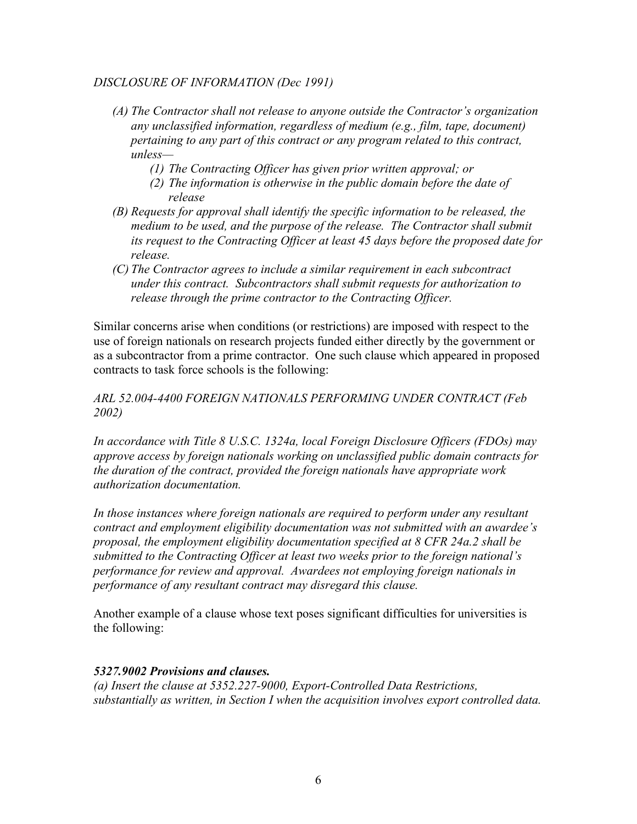## *DISCLOSURE OF INFORMATION (Dec 1991)*

- *(A) The Contractor shall not release to anyone outside the Contractor's organization any unclassified information, regardless of medium (e.g., film, tape, document) pertaining to any part of this contract or any program related to this contract, unless—*
	- *(1) The Contracting Officer has given prior written approval; or*
	- *(2) The information is otherwise in the public domain before the date of release*
- *(B) Requests for approval shall identify the specific information to be released, the medium to be used, and the purpose of the release. The Contractor shall submit its request to the Contracting Officer at least 45 days before the proposed date for release.*
- *(C) The Contractor agrees to include a similar requirement in each subcontract under this contract. Subcontractors shall submit requests for authorization to release through the prime contractor to the Contracting Officer.*

Similar concerns arise when conditions (or restrictions) are imposed with respect to the use of foreign nationals on research projects funded either directly by the government or as a subcontractor from a prime contractor. One such clause which appeared in proposed contracts to task force schools is the following:

## *ARL 52.004-4400 FOREIGN NATIONALS PERFORMING UNDER CONTRACT (Feb 2002)*

*In accordance with Title 8 U.S.C. 1324a, local Foreign Disclosure Officers (FDOs) may approve access by foreign nationals working on unclassified public domain contracts for the duration of the contract, provided the foreign nationals have appropriate work authorization documentation.* 

In those instances where foreign nationals are required to perform under any resultant *contract and employment eligibility documentation was not submitted with an awardee's proposal, the employment eligibility documentation specified at 8 CFR 24a.2 shall be submitted to the Contracting Officer at least two weeks prior to the foreign national's performance for review and approval. Awardees not employing foreign nationals in performance of any resultant contract may disregard this clause.*

Another example of a clause whose text poses significant difficulties for universities is the following:

### *5327.9002 Provisions and clauses.*

*(a) Insert the clause at 5352.227-9000, Export-Controlled Data Restrictions, substantially as written, in Section I when the acquisition involves export controlled data.*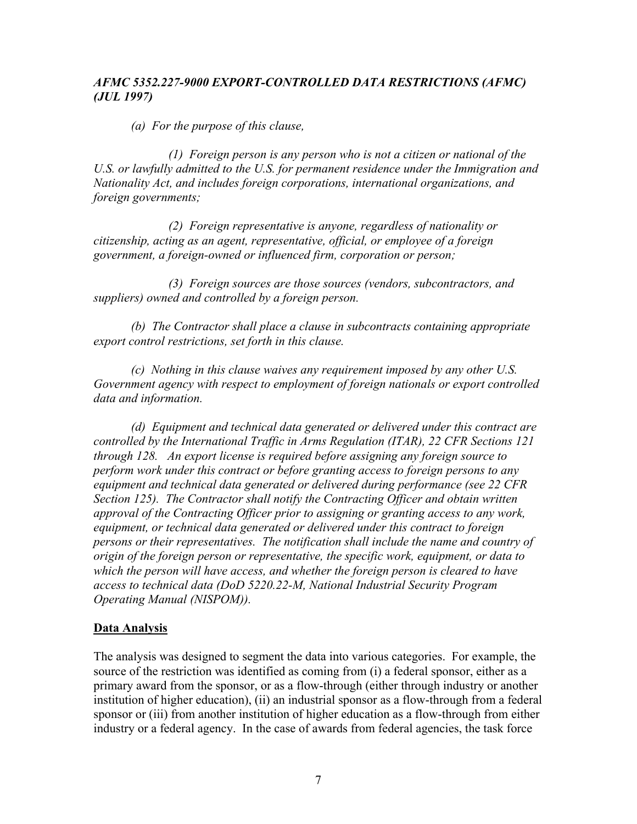## *AFMC 5352.227-9000 EXPORT-CONTROLLED DATA RESTRICTIONS (AFMC) (JUL 1997)*

*(a) For the purpose of this clause,*

*(1) Foreign person is any person who is not a citizen or national of the U.S. or lawfully admitted to the U.S. for permanent residence under the Immigration and Nationality Act, and includes foreign corporations, international organizations, and foreign governments;*

*(2) Foreign representative is anyone, regardless of nationality or citizenship, acting as an agent, representative, official, or employee of a foreign government, a foreign-owned or influenced firm, corporation or person;* 

*(3) Foreign sources are those sources (vendors, subcontractors, and suppliers) owned and controlled by a foreign person.*

*(b) The Contractor shall place a clause in subcontracts containing appropriate export control restrictions, set forth in this clause.*

*(c) Nothing in this clause waives any requirement imposed by any other U.S. Government agency with respect to employment of foreign nationals or export controlled data and information.*

*(d) Equipment and technical data generated or delivered under this contract are controlled by the International Traffic in Arms Regulation (ITAR), 22 CFR Sections 121 through 128. An export license is required before assigning any foreign source to perform work under this contract or before granting access to foreign persons to any equipment and technical data generated or delivered during performance (see 22 CFR Section 125). The Contractor shall notify the Contracting Officer and obtain written approval of the Contracting Officer prior to assigning or granting access to any work, equipment, or technical data generated or delivered under this contract to foreign persons or their representatives. The notification shall include the name and country of origin of the foreign person or representative, the specific work, equipment, or data to which the person will have access, and whether the foreign person is cleared to have access to technical data (DoD 5220.22-M, National Industrial Security Program Operating Manual (NISPOM)).*

## **Data Analysis**

The analysis was designed to segment the data into various categories. For example, the source of the restriction was identified as coming from (i) a federal sponsor, either as a primary award from the sponsor, or as a flow-through (either through industry or another institution of higher education), (ii) an industrial sponsor as a flow-through from a federal sponsor or (iii) from another institution of higher education as a flow-through from either industry or a federal agency. In the case of awards from federal agencies, the task force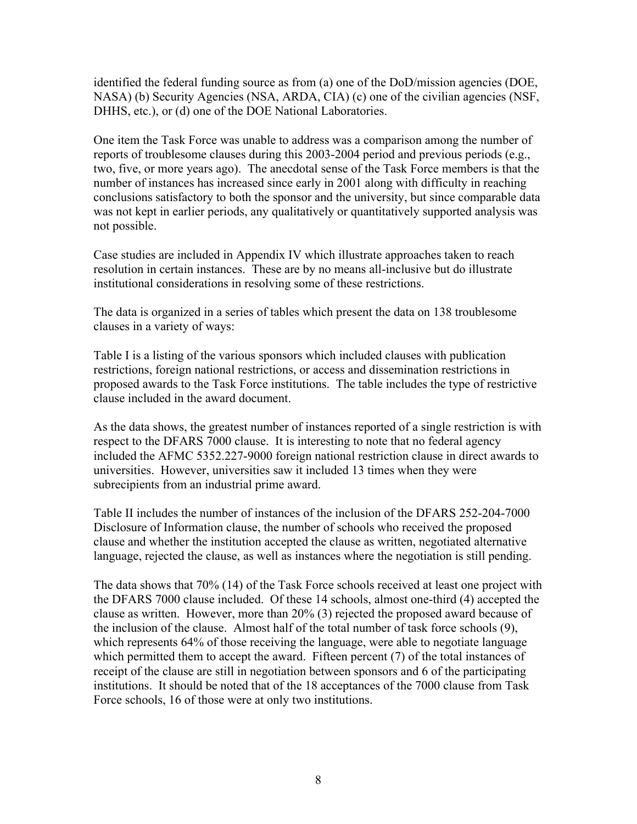identified the federal funding source as from (a) one of the DoD/mission agencies (DOE, NASA) (b) Security Agencies (NSA, ARDA, CIA) (c) one of the civilian agencies (NSF, DHHS, etc.), or (d) one of the DOE National Laboratories.

One item the Task Force was unable to address was a comparison among the number of reports of troublesome clauses during this 2003-2004 period and previous periods (e.g., two, five, or more years ago). The anecdotal sense of the Task Force members is that the number of instances has increased since early in 2001 along with difficulty in reaching conclusions satisfactory to both the sponsor and the university, but since comparable data was not kept in earlier periods, any qualitatively or quantitatively supported analysis was not possible.

Case studies are included in Appendix IV which illustrate approaches taken to reach resolution in certain instances. These are by no means all-inclusive but do illustrate institutional considerations in resolving some of these restrictions.

The data is organized in a series of tables which present the data on 138 troublesome clauses in a variety of ways:

Table I is a listing of the various sponsors which included clauses with publication restrictions, foreign national restrictions, or access and dissemination restrictions in proposed awards to the Task Force institutions. The table includes the type of restrictive clause included in the award document.

As the data shows, the greatest number of instances reported of a single restriction is with respect to the DFARS 7000 clause. It is interesting to note that no federal agency included the AFMC 5352.227-9000 foreign national restriction clause in direct awards to universities. However, universities saw it included 13 times when they were subrecipients from an industrial prime award.

Table II includes the number of instances of the inclusion of the DFARS 252-204-7000 Disclosure of Information clause, the number of schools who received the proposed clause and whether the institution accepted the clause as written, negotiated alternative language, rejected the clause, as well as instances where the negotiation is still pending.

The data shows that 70% (14) of the Task Force schools received at least one project with the DFARS 7000 clause included. Of these 14 schools, almost one-third (4) accepted the clause as written. However, more than 20% (3) rejected the proposed award because of the inclusion of the clause. Almost half of the total number of task force schools (9), which represents 64% of those receiving the language, were able to negotiate language which permitted them to accept the award. Fifteen percent (7) of the total instances of receipt of the clause are still in negotiation between sponsors and 6 of the participating institutions. It should be noted that of the 18 acceptances of the 7000 clause from Task Force schools, 16 of those were at only two institutions.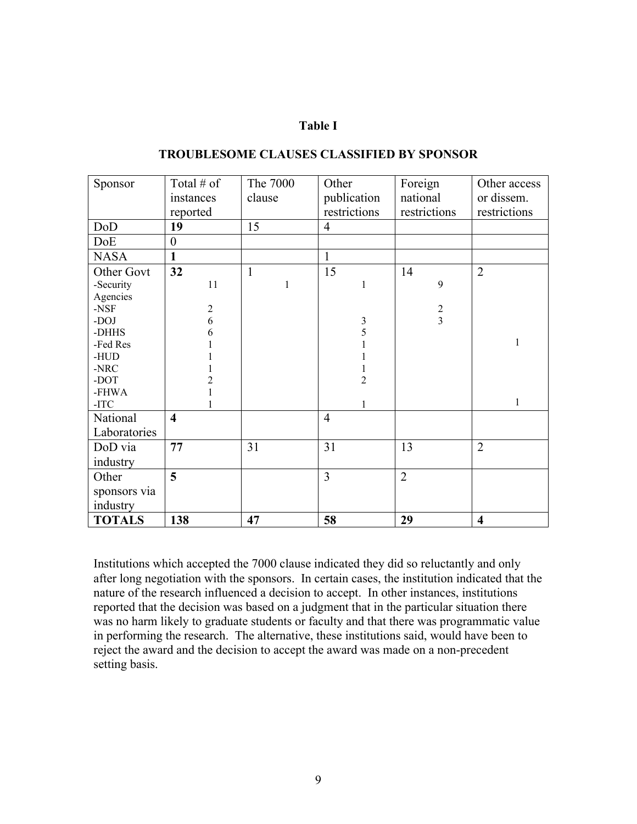#### **Table I**

| Sponsor       | Total $#$ of            | The 7000     | Other          | Foreign        | Other access            |
|---------------|-------------------------|--------------|----------------|----------------|-------------------------|
|               | instances               | clause       | publication    | national       | or dissem.              |
|               | reported                |              | restrictions   | restrictions   | restrictions            |
| DoD           | 19                      | 15           | $\overline{4}$ |                |                         |
| DoE           | $\boldsymbol{0}$        |              |                |                |                         |
| <b>NASA</b>   | $\mathbf{1}$            |              | 1              |                |                         |
| Other Govt    | 32                      | $\mathbf{1}$ | 15             | 14             | $\overline{2}$          |
| -Security     | 11                      | $\mathbf{1}$ | 1              | 9              |                         |
| Agencies      |                         |              |                |                |                         |
| $-$ NSF       | $\overline{c}$          |              |                | $\sqrt{2}$     |                         |
| -DOJ          | 6                       |              | $\frac{3}{5}$  | $\overline{3}$ |                         |
| -DHHS         | 6                       |              |                |                |                         |
| -Fed Res      |                         |              | 1              |                | $\mathbf{1}$            |
| $-HUD$        |                         |              |                |                |                         |
| $-NRC$        |                         |              | 1              |                |                         |
| -DOT          | $\overline{2}$          |              | $\overline{2}$ |                |                         |
| -FHWA         | 1                       |              |                |                | $\mathbf{1}$            |
| -ITC $\,$     |                         |              | 1              |                |                         |
| National      | $\overline{\mathbf{4}}$ |              | $\overline{4}$ |                |                         |
| Laboratories  |                         |              |                |                |                         |
| DoD via       | 77                      | 31           | 31             | 13             | $\overline{2}$          |
| industry      |                         |              |                |                |                         |
| Other         | 5                       |              | $\overline{3}$ | $\overline{2}$ |                         |
| sponsors via  |                         |              |                |                |                         |
| industry      |                         |              |                |                |                         |
| <b>TOTALS</b> | 138                     | 47           | 58             | 29             | $\overline{\mathbf{4}}$ |

#### **TROUBLESOME CLAUSES CLASSIFIED BY SPONSOR**

Institutions which accepted the 7000 clause indicated they did so reluctantly and only after long negotiation with the sponsors. In certain cases, the institution indicated that the nature of the research influenced a decision to accept. In other instances, institutions reported that the decision was based on a judgment that in the particular situation there was no harm likely to graduate students or faculty and that there was programmatic value in performing the research. The alternative, these institutions said, would have been to reject the award and the decision to accept the award was made on a non-precedent setting basis.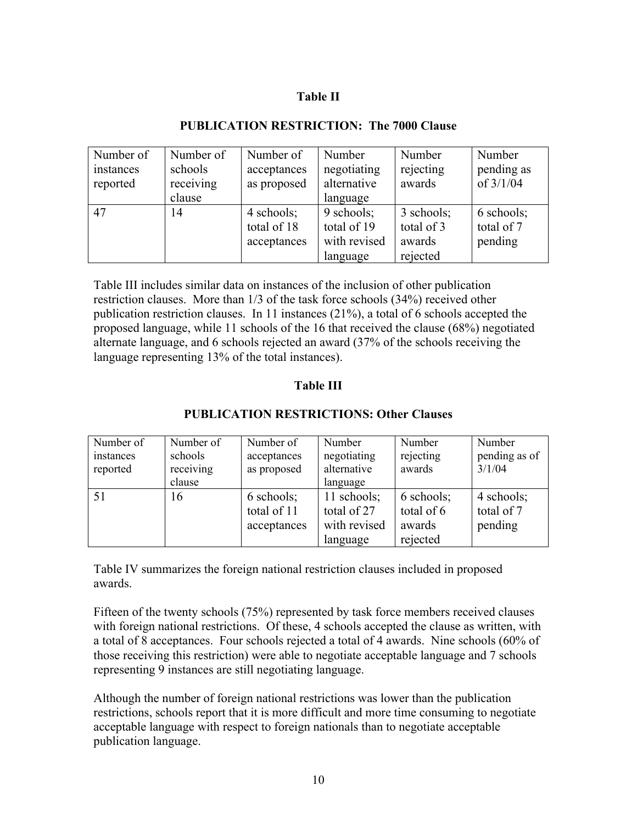## **Table II**

| Number of | Number of | Number of   | Number       | Number     | Number      |
|-----------|-----------|-------------|--------------|------------|-------------|
| instances | schools   | acceptances | negotiating  | rejecting  | pending as  |
| reported  | receiving | as proposed | alternative  | awards     | of $3/1/04$ |
|           | clause    |             | language     |            |             |
| 47        | 14        | 4 schools;  | 9 schools;   | 3 schools; | 6 schools;  |
|           |           | total of 18 | total of 19  | total of 3 | total of 7  |
|           |           | acceptances | with revised | awards     | pending     |
|           |           |             | language     | rejected   |             |

### **PUBLICATION RESTRICTION: The 7000 Clause**

Table III includes similar data on instances of the inclusion of other publication restriction clauses. More than 1/3 of the task force schools (34%) received other publication restriction clauses. In 11 instances (21%), a total of 6 schools accepted the proposed language, while 11 schools of the 16 that received the clause (68%) negotiated alternate language, and 6 schools rejected an award (37% of the schools receiving the language representing 13% of the total instances).

## **Table III**

| Number of | Number of | Number of   | Number       | Number     | Number        |
|-----------|-----------|-------------|--------------|------------|---------------|
| instances | schools   | acceptances | negotiating  | rejecting  | pending as of |
| reported  | receiving | as proposed | alternative  | awards     | 3/1/04        |
|           | clause    |             | language     |            |               |
| 51        | 16        | 6 schools;  | 11 schools;  | 6 schools; | 4 schools;    |
|           |           | total of 11 | total of 27  | total of 6 | total of 7    |
|           |           | acceptances | with revised | awards     | pending       |
|           |           |             | language     | rejected   |               |

## **PUBLICATION RESTRICTIONS: Other Clauses**

Table IV summarizes the foreign national restriction clauses included in proposed awards.

Fifteen of the twenty schools (75%) represented by task force members received clauses with foreign national restrictions. Of these, 4 schools accepted the clause as written, with a total of 8 acceptances. Four schools rejected a total of 4 awards. Nine schools (60% of those receiving this restriction) were able to negotiate acceptable language and 7 schools representing 9 instances are still negotiating language.

Although the number of foreign national restrictions was lower than the publication restrictions, schools report that it is more difficult and more time consuming to negotiate acceptable language with respect to foreign nationals than to negotiate acceptable publication language.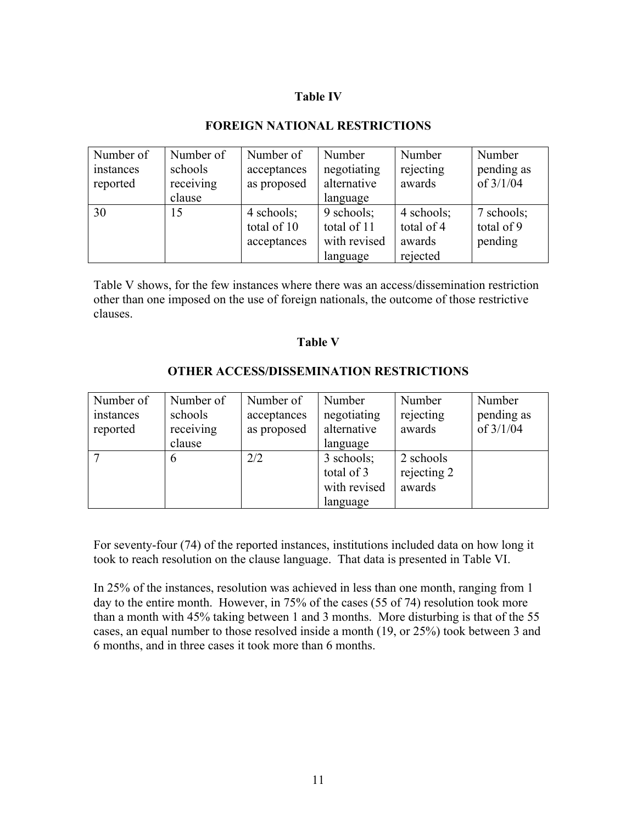## **Table IV**

## **FOREIGN NATIONAL RESTRICTIONS**

| Number of             | Number of            | Number of                  | Number                     | Number              | Number                    |
|-----------------------|----------------------|----------------------------|----------------------------|---------------------|---------------------------|
| instances<br>reported | schools<br>receiving | acceptances<br>as proposed | negotiating<br>alternative | rejecting<br>awards | pending as<br>of $3/1/04$ |
|                       | clause               |                            | language                   |                     |                           |
| 30                    | 15                   | 4 schools;                 | 9 schools;                 | 4 schools;          | 7 schools;                |
|                       |                      | total of 10                | total of 11                | total of 4          | total of 9                |
|                       |                      | acceptances                | with revised               | awards              | pending                   |
|                       |                      |                            | language                   | rejected            |                           |

Table V shows, for the few instances where there was an access/dissemination restriction other than one imposed on the use of foreign nationals, the outcome of those restrictive clauses.

#### **Table V**

# **OTHER ACCESS/DISSEMINATION RESTRICTIONS**

| Number of             | Number of            | Number of                  | Number                     | Number              | Number                    |
|-----------------------|----------------------|----------------------------|----------------------------|---------------------|---------------------------|
| instances<br>reported | schools<br>receiving | acceptances<br>as proposed | negotiating<br>alternative | rejecting<br>awards | pending as<br>of $3/1/04$ |
|                       | clause               |                            | language                   |                     |                           |
|                       |                      | 2/2                        | 3 schools;                 | 2 schools           |                           |
|                       |                      |                            | total of 3                 | rejecting 2         |                           |
|                       |                      |                            | with revised               | awards              |                           |
|                       |                      |                            | language                   |                     |                           |

For seventy-four (74) of the reported instances, institutions included data on how long it took to reach resolution on the clause language. That data is presented in Table VI.

In 25% of the instances, resolution was achieved in less than one month, ranging from 1 day to the entire month. However, in 75% of the cases (55 of 74) resolution took more than a month with 45% taking between 1 and 3 months. More disturbing is that of the 55 cases, an equal number to those resolved inside a month (19, or 25%) took between 3 and 6 months, and in three cases it took more than 6 months.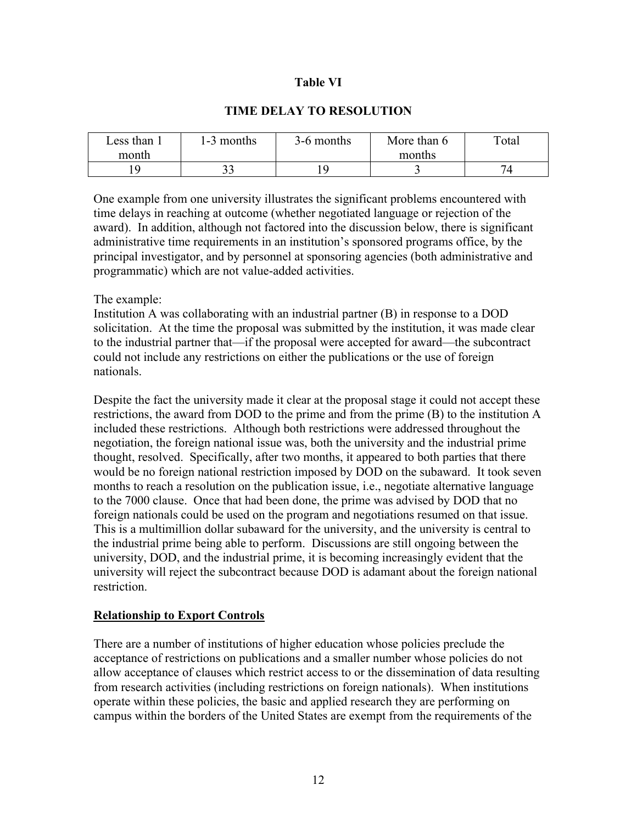### **Table VI**

## **TIME DELAY TO RESOLUTION**

| Less than. | 1-3 months | 3-6 months | More than 6 | Total |
|------------|------------|------------|-------------|-------|
| month      |            |            | months      |       |
|            | n 1<br>ັ∼  |            |             |       |

One example from one university illustrates the significant problems encountered with time delays in reaching at outcome (whether negotiated language or rejection of the award). In addition, although not factored into the discussion below, there is significant administrative time requirements in an institution's sponsored programs office, by the principal investigator, and by personnel at sponsoring agencies (both administrative and programmatic) which are not value-added activities.

#### The example:

Institution A was collaborating with an industrial partner (B) in response to a DOD solicitation. At the time the proposal was submitted by the institution, it was made clear to the industrial partner that—if the proposal were accepted for award—the subcontract could not include any restrictions on either the publications or the use of foreign nationals.

Despite the fact the university made it clear at the proposal stage it could not accept these restrictions, the award from DOD to the prime and from the prime (B) to the institution A included these restrictions. Although both restrictions were addressed throughout the negotiation, the foreign national issue was, both the university and the industrial prime thought, resolved. Specifically, after two months, it appeared to both parties that there would be no foreign national restriction imposed by DOD on the subaward. It took seven months to reach a resolution on the publication issue, i.e., negotiate alternative language to the 7000 clause. Once that had been done, the prime was advised by DOD that no foreign nationals could be used on the program and negotiations resumed on that issue. This is a multimillion dollar subaward for the university, and the university is central to the industrial prime being able to perform. Discussions are still ongoing between the university, DOD, and the industrial prime, it is becoming increasingly evident that the university will reject the subcontract because DOD is adamant about the foreign national restriction.

#### **Relationship to Export Controls**

There are a number of institutions of higher education whose policies preclude the acceptance of restrictions on publications and a smaller number whose policies do not allow acceptance of clauses which restrict access to or the dissemination of data resulting from research activities (including restrictions on foreign nationals). When institutions operate within these policies, the basic and applied research they are performing on campus within the borders of the United States are exempt from the requirements of the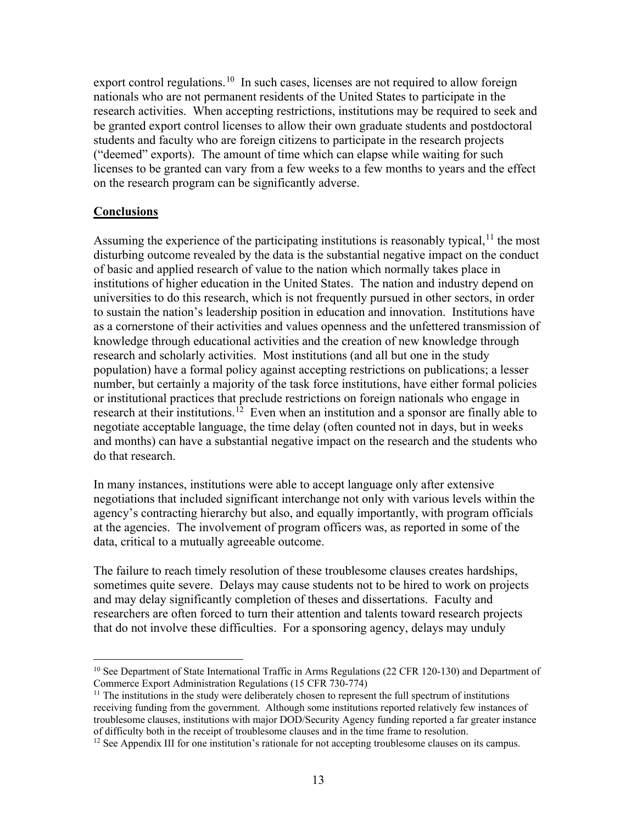export control regulations.<sup>[10](#page-12-0)</sup> In such cases, licenses are not required to allow foreign nationals who are not permanent residents of the United States to participate in the research activities. When accepting restrictions, institutions may be required to seek and be granted export control licenses to allow their own graduate students and postdoctoral students and faculty who are foreign citizens to participate in the research projects ("deemed" exports). The amount of time which can elapse while waiting for such licenses to be granted can vary from a few weeks to a few months to years and the effect on the research program can be significantly adverse.

### **Conclusions**

Assuming the experience of the participating institutions is reasonably typical,  $\frac{1}{1}$  the most disturbing outcome revealed by the data is the substantial negative impact on the conduct of basic and applied research of value to the nation which normally takes place in institutions of higher education in the United States. The nation and industry depend on universities to do this research, which is not frequently pursued in other sectors, in order to sustain the nation's leadership position in education and innovation. Institutions have as a cornerstone of their activities and values openness and the unfettered transmission of knowledge through educational activities and the creation of new knowledge through research and scholarly activities. Most institutions (and all but one in the study population) have a formal policy against accepting restrictions on publications; a lesser number, but certainly a majority of the task force institutions, have either formal policies or institutional practices that preclude restrictions on foreign nationals who engage in research at their institutions.<sup>[12](#page-12-2)</sup> Even when an institution and a sponsor are finally able to negotiate acceptable language, the time delay (often counted not in days, but in weeks and months) can have a substantial negative impact on the research and the students who do that research.

In many instances, institutions were able to accept language only after extensive negotiations that included significant interchange not only with various levels within the agency's contracting hierarchy but also, and equally importantly, with program officials at the agencies. The involvement of program officers was, as reported in some of the data, critical to a mutually agreeable outcome.

The failure to reach timely resolution of these troublesome clauses creates hardships, sometimes quite severe. Delays may cause students not to be hired to work on projects and may delay significantly completion of theses and dissertations. Faculty and researchers are often forced to turn their attention and talents toward research projects that do not involve these difficulties. For a sponsoring agency, delays may unduly

<span id="page-12-0"></span><sup>&</sup>lt;sup>10</sup> See Department of State International Traffic in Arms Regulations (22 CFR 120-130) and Department of Commerce Export Administration Regulations (15 CFR 730-774)

<span id="page-12-1"></span> $11$  The institutions in the study were deliberately chosen to represent the full spectrum of institutions receiving funding from the government. Although some institutions reported relatively few instances of troublesome clauses, institutions with major DOD/Security Agency funding reported a far greater instance of difficulty both in the receipt of troublesome clauses and in the time frame to resolution.

<span id="page-12-2"></span> $12$  See Appendix III for one institution's rationale for not accepting troublesome clauses on its campus.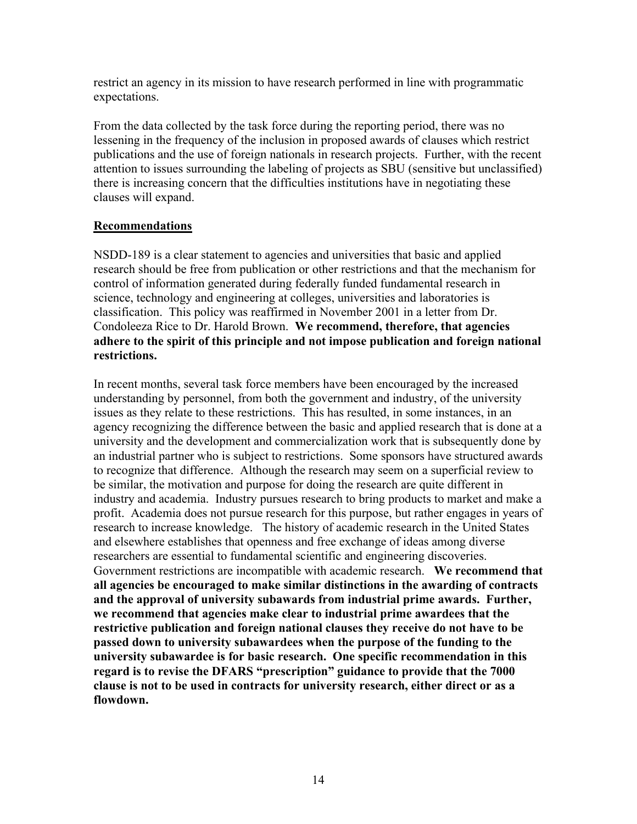restrict an agency in its mission to have research performed in line with programmatic expectations.

From the data collected by the task force during the reporting period, there was no lessening in the frequency of the inclusion in proposed awards of clauses which restrict publications and the use of foreign nationals in research projects. Further, with the recent attention to issues surrounding the labeling of projects as SBU (sensitive but unclassified) there is increasing concern that the difficulties institutions have in negotiating these clauses will expand.

## **Recommendations**

NSDD-189 is a clear statement to agencies and universities that basic and applied research should be free from publication or other restrictions and that the mechanism for control of information generated during federally funded fundamental research in science, technology and engineering at colleges, universities and laboratories is classification. This policy was reaffirmed in November 2001 in a letter from Dr. Condoleeza Rice to Dr. Harold Brown. **We recommend, therefore, that agencies adhere to the spirit of this principle and not impose publication and foreign national restrictions.**

In recent months, several task force members have been encouraged by the increased understanding by personnel, from both the government and industry, of the university issues as they relate to these restrictions. This has resulted, in some instances, in an agency recognizing the difference between the basic and applied research that is done at a university and the development and commercialization work that is subsequently done by an industrial partner who is subject to restrictions. Some sponsors have structured awards to recognize that difference. Although the research may seem on a superficial review to be similar, the motivation and purpose for doing the research are quite different in industry and academia. Industry pursues research to bring products to market and make a profit. Academia does not pursue research for this purpose, but rather engages in years of research to increase knowledge. The history of academic research in the United States and elsewhere establishes that openness and free exchange of ideas among diverse researchers are essential to fundamental scientific and engineering discoveries. Government restrictions are incompatible with academic research. **We recommend that all agencies be encouraged to make similar distinctions in the awarding of contracts and the approval of university subawards from industrial prime awards. Further, we recommend that agencies make clear to industrial prime awardees that the restrictive publication and foreign national clauses they receive do not have to be passed down to university subawardees when the purpose of the funding to the university subawardee is for basic research. One specific recommendation in this regard is to revise the DFARS "prescription" guidance to provide that the 7000 clause is not to be used in contracts for university research, either direct or as a flowdown.**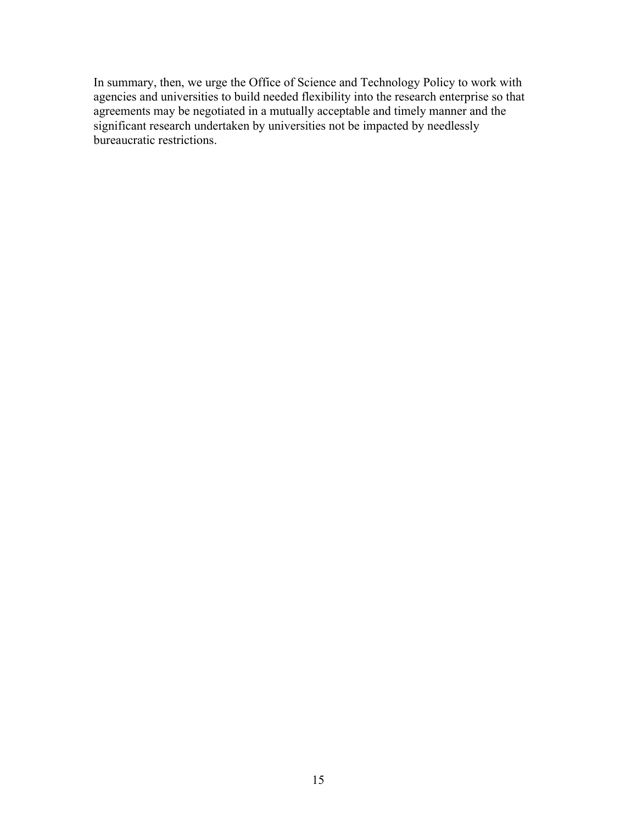In summary, then, we urge the Office of Science and Technology Policy to work with agencies and universities to build needed flexibility into the research enterprise so that agreements may be negotiated in a mutually acceptable and timely manner and the significant research undertaken by universities not be impacted by needlessly bureaucratic restrictions.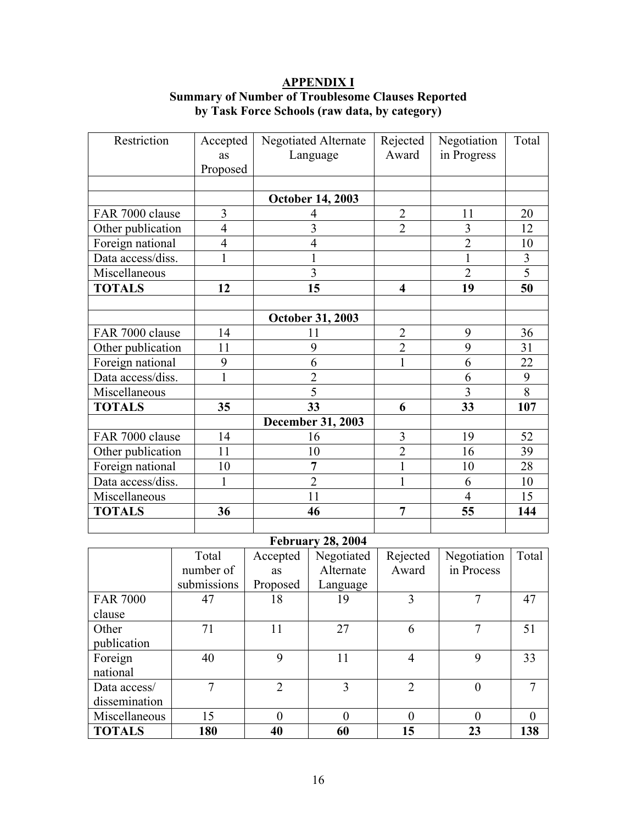## **APPENDIX I Summary of Number of Troublesome Clauses Reported by Task Force Schools (raw data, by category)**

| Restriction       | Accepted       | Negotiated Alternate     |                         | Negotiation    | Total          |
|-------------------|----------------|--------------------------|-------------------------|----------------|----------------|
|                   | <b>as</b>      | Language                 | Rejected<br>Award       | in Progress    |                |
|                   | Proposed       |                          |                         |                |                |
|                   |                |                          |                         |                |                |
|                   |                | <b>October 14, 2003</b>  |                         |                |                |
| FAR 7000 clause   | 3              | 4                        | $\overline{2}$          | 11             | 20             |
| Other publication | $\overline{4}$ | $\overline{3}$           | $\overline{2}$          | 3              | 12             |
| Foreign national  | $\overline{4}$ | $\overline{4}$           |                         | $\overline{2}$ | 10             |
| Data access/diss. | $\mathbf 1$    | $\mathbf{1}$             |                         | $\mathbf{1}$   | $\overline{3}$ |
| Miscellaneous     |                | 3                        |                         | $\overline{2}$ | $\overline{5}$ |
| <b>TOTALS</b>     | 12             | 15                       | $\overline{\mathbf{4}}$ | 19             | 50             |
|                   |                |                          |                         |                |                |
|                   |                | <b>October 31, 2003</b>  |                         |                |                |
| FAR 7000 clause   | 14             | 11                       | $\overline{2}$          | 9              | 36             |
| Other publication | 11             | 9                        | $\overline{2}$          | 9              | 31             |
| Foreign national  | 9              | 6                        |                         | 6              | 22             |
| Data access/diss. | $\mathbf{1}$   | $\overline{2}$           |                         | 6              | 9              |
| Miscellaneous     |                | 5                        |                         | 3              | 8              |
| <b>TOTALS</b>     | 35             | 33                       | 6                       | 33             | 107            |
|                   |                | <b>December 31, 2003</b> |                         |                |                |
| FAR 7000 clause   | 14             | 16                       | 3                       | 19             | 52             |
| Other publication | 11             | 10                       | $\overline{2}$          | 16             | 39             |
| Foreign national  | 10             | 7                        | $\mathbf{1}$            | 10             | 28             |
| Data access/diss. | 1              | $\overline{2}$           | $\mathbf{1}$            | 6              | 10             |
| Miscellaneous     |                | 11                       |                         | 4              | 15             |
| <b>TOTALS</b>     | 36             | 46                       | $\overline{7}$          | 55             | 144            |
|                   |                |                          |                         |                |                |

# **February 28, 2004**

|                 | Total       | Accepted       | Negotiated | Rejected       | Negotiation | Total    |
|-----------------|-------------|----------------|------------|----------------|-------------|----------|
|                 | number of   | <b>as</b>      | Alternate  | Award          | in Process  |          |
|                 | submissions | Proposed       | Language   |                |             |          |
| <b>FAR 7000</b> | 47          | 18             | 19         | 3              |             | 47       |
| clause          |             |                |            |                |             |          |
| Other           | 71          | 11             | 27         | 6              | 7           | 51       |
| publication     |             |                |            |                |             |          |
| Foreign         | 40          | 9              | 11         | 4              | 9           | 33       |
| national        |             |                |            |                |             |          |
| Data access/    | 7           | $\overline{2}$ | 3          | $\overline{2}$ | 0           |          |
| dissemination   |             |                |            |                |             |          |
| Miscellaneous   | 15          | 0              | $\theta$   | $\theta$       |             | $\theta$ |
| <b>TOTALS</b>   | 180         | 40             | 60         | 15             | 23          | 138      |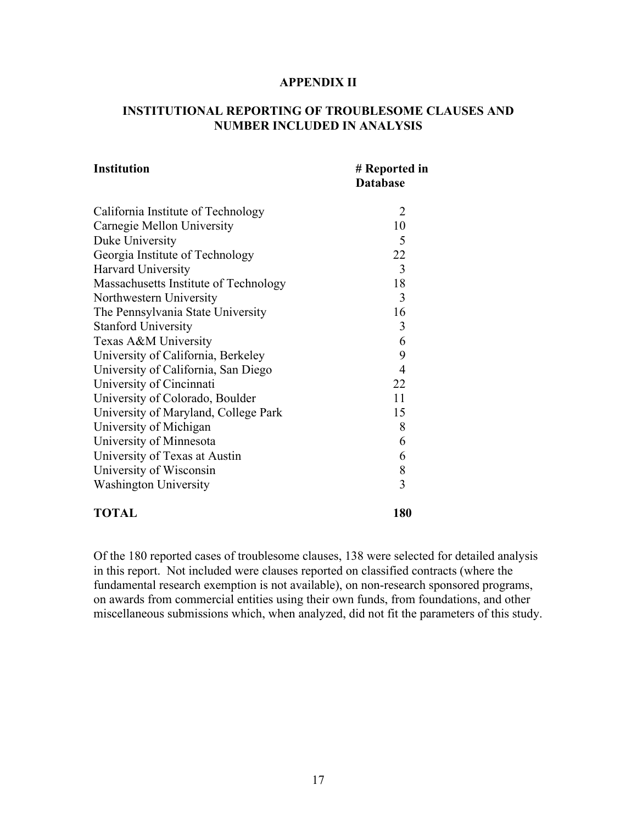#### **APPENDIX II**

## **INSTITUTIONAL REPORTING OF TROUBLESOME CLAUSES AND NUMBER INCLUDED IN ANALYSIS**

| <b>Institution</b>                    | # Reported in<br><b>Database</b> |
|---------------------------------------|----------------------------------|
| California Institute of Technology    | 2                                |
| Carnegie Mellon University            | 10                               |
| Duke University                       | 5                                |
| Georgia Institute of Technology       | 22                               |
| Harvard University                    | 3                                |
| Massachusetts Institute of Technology | 18                               |
| Northwestern University               | 3                                |
| The Pennsylvania State University     | 16                               |
| <b>Stanford University</b>            | 3                                |
| Texas A&M University                  | 6                                |
| University of California, Berkeley    | 9                                |
| University of California, San Diego   | $\overline{4}$                   |
| University of Cincinnati              | 22                               |
| University of Colorado, Boulder       | 11                               |
| University of Maryland, College Park  | 15                               |
| University of Michigan                | 8                                |
| University of Minnesota               | 6                                |
| University of Texas at Austin         | 6                                |
| University of Wisconsin               | 8                                |
| <b>Washington University</b>          | 3                                |
| <b>TOTAL</b>                          | 180                              |

Of the 180 reported cases of troublesome clauses, 138 were selected for detailed analysis in this report. Not included were clauses reported on classified contracts (where the fundamental research exemption is not available), on non-research sponsored programs, on awards from commercial entities using their own funds, from foundations, and other miscellaneous submissions which, when analyzed, did not fit the parameters of this study.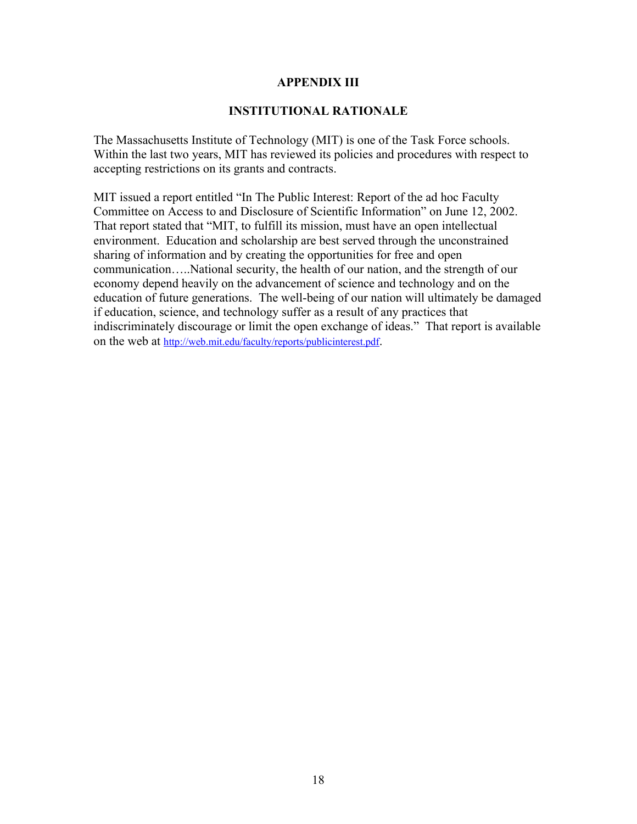#### **APPENDIX III**

#### **INSTITUTIONAL RATIONALE**

The Massachusetts Institute of Technology (MIT) is one of the Task Force schools. Within the last two years, MIT has reviewed its policies and procedures with respect to accepting restrictions on its grants and contracts.

MIT issued a report entitled "In The Public Interest: Report of the ad hoc Faculty Committee on Access to and Disclosure of Scientific Information" on June 12, 2002. That report stated that "MIT, to fulfill its mission, must have an open intellectual environment. Education and scholarship are best served through the unconstrained sharing of information and by creating the opportunities for free and open communication…..National security, the health of our nation, and the strength of our economy depend heavily on the advancement of science and technology and on the education of future generations. The well-being of our nation will ultimately be damaged if education, science, and technology suffer as a result of any practices that indiscriminately discourage or limit the open exchange of ideas." That report is available on the web at [http://web.mit.edu/faculty/reports/publicinterest.pdf.](http://web.mit.edu/faculty/reports/publicinterest.pdf)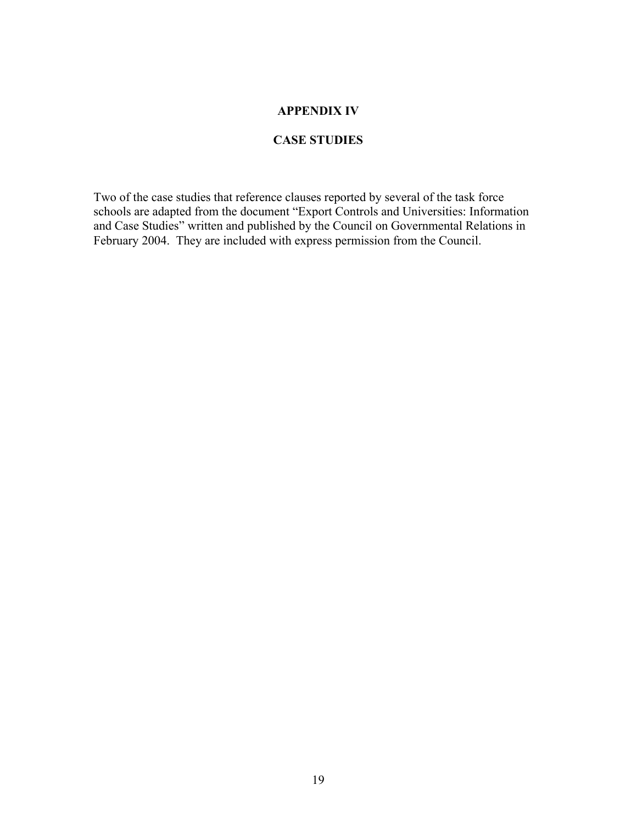## **APPENDIX IV**

## **CASE STUDIES**

Two of the case studies that reference clauses reported by several of the task force schools are adapted from the document "Export Controls and Universities: Information and Case Studies" written and published by the Council on Governmental Relations in February 2004. They are included with express permission from the Council.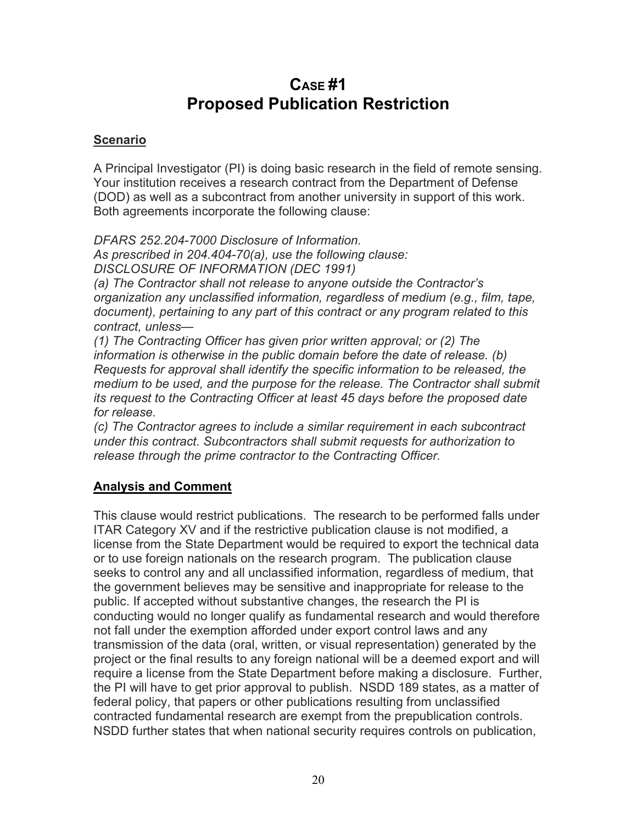# **CASE #1 Proposed Publication Restriction**

# **Scenario**

A Principal Investigator (PI) is doing basic research in the field of remote sensing. Your institution receives a research contract from the Department of Defense (DOD) as well as a subcontract from another university in support of this work. Both agreements incorporate the following clause:

*DFARS 252.204-7000 Disclosure of Information. As prescribed in 204.404-70(a), use the following clause: DISCLOSURE OF INFORMATION (DEC 1991)*

*(a) The Contractor shall not release to anyone outside the Contractor's organization any unclassified information, regardless of medium (e.g., film, tape, document), pertaining to any part of this contract or any program related to this contract, unless—*

*(1) The Contracting Officer has given prior written approval; or (2) The information is otherwise in the public domain before the date of release. (b) Requests for approval shall identify the specific information to be released, the medium to be used, and the purpose for the release. The Contractor shall submit its request to the Contracting Officer at least 45 days before the proposed date for release.*

*(c) The Contractor agrees to include a similar requirement in each subcontract under this contract. Subcontractors shall submit requests for authorization to release through the prime contractor to the Contracting Officer.*

# **Analysis and Comment**

This clause would restrict publications. The research to be performed falls under ITAR Category XV and if the restrictive publication clause is not modified, a license from the State Department would be required to export the technical data or to use foreign nationals on the research program. The publication clause seeks to control any and all unclassified information, regardless of medium, that the government believes may be sensitive and inappropriate for release to the public. If accepted without substantive changes, the research the PI is conducting would no longer qualify as fundamental research and would therefore not fall under the exemption afforded under export control laws and any transmission of the data (oral, written, or visual representation) generated by the project or the final results to any foreign national will be a deemed export and will require a license from the State Department before making a disclosure. Further, the PI will have to get prior approval to publish. NSDD 189 states, as a matter of federal policy, that papers or other publications resulting from unclassified contracted fundamental research are exempt from the prepublication controls. NSDD further states that when national security requires controls on publication,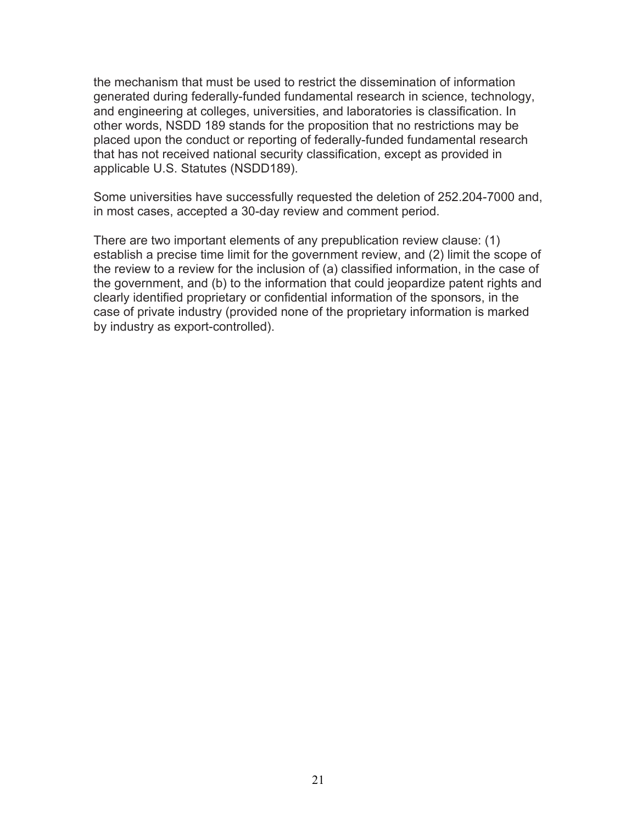the mechanism that must be used to restrict the dissemination of information generated during federally-funded fundamental research in science, technology, and engineering at colleges, universities, and laboratories is classification. In other words, NSDD 189 stands for the proposition that no restrictions may be placed upon the conduct or reporting of federally-funded fundamental research that has not received national security classification, except as provided in applicable U.S. Statutes (NSDD189).

Some universities have successfully requested the deletion of 252.204-7000 and, in most cases, accepted a 30-day review and comment period.

There are two important elements of any prepublication review clause: (1) establish a precise time limit for the government review, and (2) limit the scope of the review to a review for the inclusion of (a) classified information, in the case of the government, and (b) to the information that could jeopardize patent rights and clearly identified proprietary or confidential information of the sponsors, in the case of private industry (provided none of the proprietary information is marked by industry as export-controlled).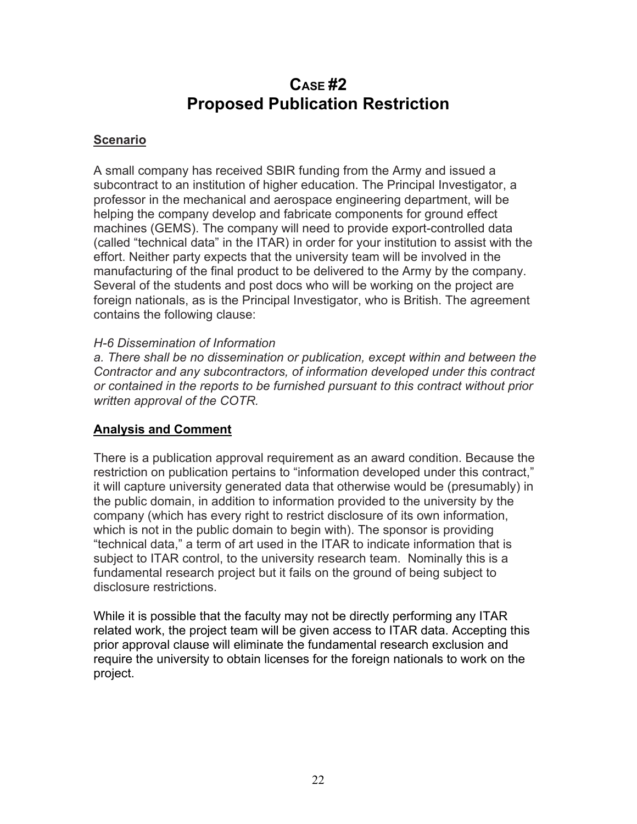# **CASE #2 Proposed Publication Restriction**

# **Scenario**

A small company has received SBIR funding from the Army and issued a subcontract to an institution of higher education. The Principal Investigator, a professor in the mechanical and aerospace engineering department, will be helping the company develop and fabricate components for ground effect machines (GEMS). The company will need to provide export-controlled data (called "technical data" in the ITAR) in order for your institution to assist with the effort. Neither party expects that the university team will be involved in the manufacturing of the final product to be delivered to the Army by the company. Several of the students and post docs who will be working on the project are foreign nationals, as is the Principal Investigator, who is British. The agreement contains the following clause:

## *H-6 Dissemination of Information*

*a. There shall be no dissemination or publication, except within and between the Contractor and any subcontractors, of information developed under this contract or contained in the reports to be furnished pursuant to this contract without prior written approval of the COTR.*

# **Analysis and Comment**

There is a publication approval requirement as an award condition. Because the restriction on publication pertains to "information developed under this contract," it will capture university generated data that otherwise would be (presumably) in the public domain, in addition to information provided to the university by the company (which has every right to restrict disclosure of its own information, which is not in the public domain to begin with). The sponsor is providing "technical data," a term of art used in the ITAR to indicate information that is subject to ITAR control, to the university research team. Nominally this is a fundamental research project but it fails on the ground of being subject to disclosure restrictions.

While it is possible that the faculty may not be directly performing any ITAR related work, the project team will be given access to ITAR data. Accepting this prior approval clause will eliminate the fundamental research exclusion and require the university to obtain licenses for the foreign nationals to work on the project.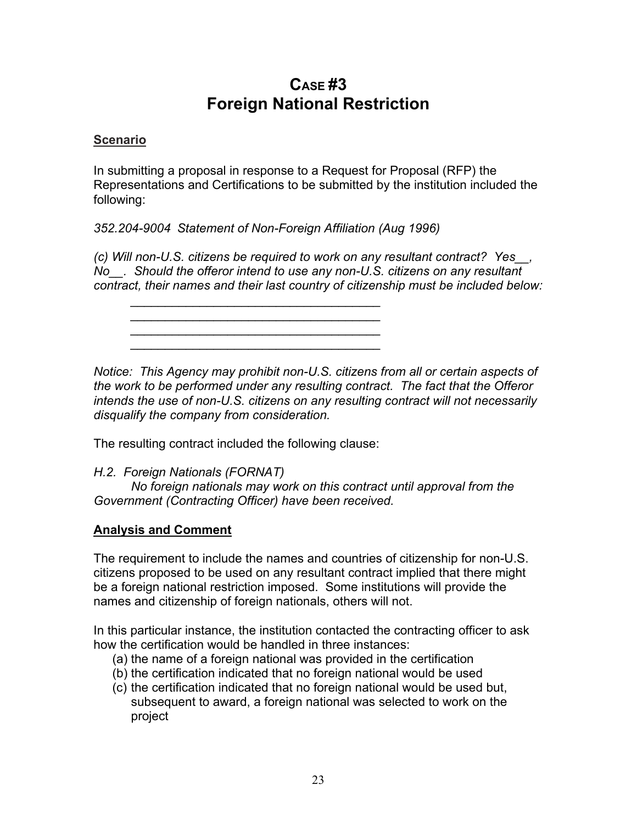# **CASE #3 Foreign National Restriction**

## **Scenario**

In submitting a proposal in response to a Request for Proposal (RFP) the Representations and Certifications to be submitted by the institution included the following:

*352.204-9004 Statement of Non-Foreign Affiliation (Aug 1996)*

*(c) Will non-U.S. citizens be required to work on any resultant contract? Yes\_\_, No\_\_. Should the offeror intend to use any non-U.S. citizens on any resultant contract, their names and their last country of citizenship must be included below:*

*\_\_\_\_\_\_\_\_\_\_\_\_\_\_\_\_\_\_\_\_\_\_\_\_\_\_\_\_\_\_\_\_\_\_\_\_ \_\_\_\_\_\_\_\_\_\_\_\_\_\_\_\_\_\_\_\_\_\_\_\_\_\_\_\_\_\_\_\_\_\_\_\_ \_\_\_\_\_\_\_\_\_\_\_\_\_\_\_\_\_\_\_\_\_\_\_\_\_\_\_\_\_\_\_\_\_\_\_\_*

*\_\_\_\_\_\_\_\_\_\_\_\_\_\_\_\_\_\_\_\_\_\_\_\_\_\_\_\_\_\_\_\_\_\_\_\_*

*Notice: This Agency may prohibit non-U.S. citizens from all or certain aspects of the work to be performed under any resulting contract. The fact that the Offeror intends the use of non-U.S. citizens on any resulting contract will not necessarily disqualify the company from consideration.*

The resulting contract included the following clause:

*H.2. Foreign Nationals (FORNAT)*

*No foreign nationals may work on this contract until approval from the Government (Contracting Officer) have been received.*

# **Analysis and Comment**

The requirement to include the names and countries of citizenship for non-U.S. citizens proposed to be used on any resultant contract implied that there might be a foreign national restriction imposed. Some institutions will provide the names and citizenship of foreign nationals, others will not.

In this particular instance, the institution contacted the contracting officer to ask how the certification would be handled in three instances:

- (a) the name of a foreign national was provided in the certification
- (b) the certification indicated that no foreign national would be used
- (c) the certification indicated that no foreign national would be used but, subsequent to award, a foreign national was selected to work on the project